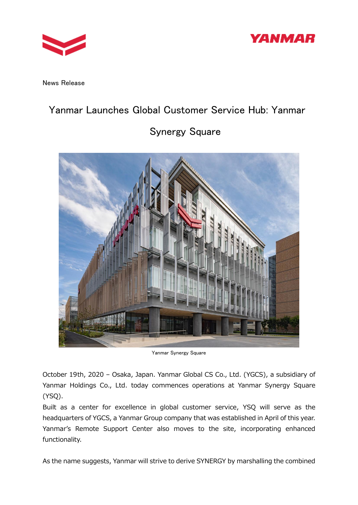



News Release

# Yanmar Launches Global Customer Service Hub: Yanmar

# Synergy Square



Yanmar Synergy Square

October 19th, 2020 – Osaka, Japan. Yanmar Global CS Co., Ltd. (YGCS), a subsidiary of Yanmar Holdings Co., Ltd. today commences operations at Yanmar Synergy Square (YSQ).

Built as a center for excellence in global customer service, YSQ will serve as the headquarters of YGCS, a Yanmar Group company that was established in April of this year. Yanmar's Remote Support Center also moves to the site, incorporating enhanced functionality.

As the name suggests, Yanmar will strive to derive SYNERGY by marshalling the combined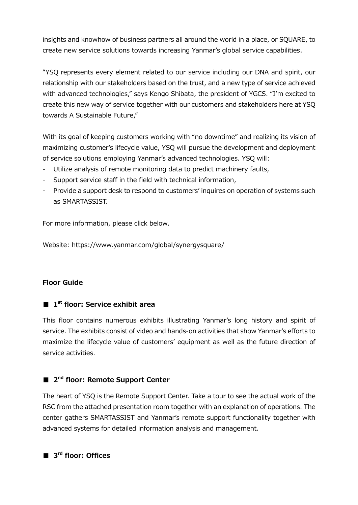insights and knowhow of business partners all around the world in a place, or SQUARE, to create new service solutions towards increasing Yanmar's global service capabilities.

"YSQ represents every element related to our service including our DNA and spirit, our relationship with our stakeholders based on the trust, and a new type of service achieved with advanced technologies," says Kengo Shibata, the president of YGCS. "I'm excited to create this new way of service together with our customers and stakeholders here at YSQ towards A Sustainable Future,"

With its goal of keeping customers working with "no downtime" and realizing its vision of maximizing customer's lifecycle value, YSQ will pursue the development and deployment of service solutions employing Yanmar's advanced technologies. YSQ will:

- Utilize analysis of remote monitoring data to predict machinery faults,
- Support service staff in the field with technical information,
- Provide a support desk to respond to customers' inquires on operation of systems such as SMARTASSIST.

For more information, please click below.

Website: https://www.yanmar.com/global/synergysquare/

## **Floor Guide**

# ■ 1<sup>st</sup> floor: Service exhibit area

This floor contains numerous exhibits illustrating Yanmar's long history and spirit of service. The exhibits consist of video and hands-on activities that show Yanmar's efforts to maximize the lifecycle value of customers' equipment as well as the future direction of service activities.

# ■ 2<sup>nd</sup> floor: Remote Support Center

The heart of YSQ is the Remote Support Center. Take a tour to see the actual work of the RSC from the attached presentation room together with an explanation of operations. The center gathers SMARTASSIST and Yanmar's remote support functionality together with advanced systems for detailed information analysis and management.

■ 3<sup>rd</sup> floor: Offices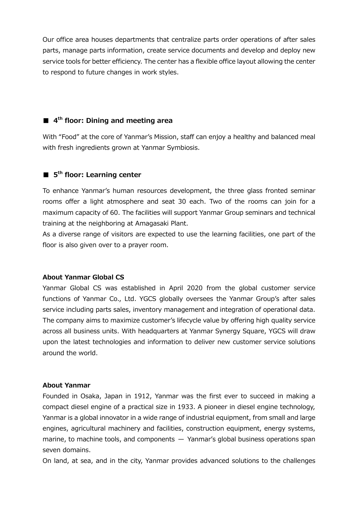Our office area houses departments that centralize parts order operations of after sales parts, manage parts information, create service documents and develop and deploy new service tools for better efficiency. The center has a flexible office layout allowing the center to respond to future changes in work styles.

## ■ 4<sup>th</sup> floor: Dining and meeting area

With "Food" at the core of Yanmar's Mission, staff can enjoy a healthy and balanced meal with fresh ingredients grown at Yanmar Symbiosis.

## ■ 5<sup>th</sup> floor: Learning center

To enhance Yanmar's human resources development, the three glass fronted seminar rooms offer a light atmosphere and seat 30 each. Two of the rooms can join for a maximum capacity of 60. The facilities will support Yanmar Group seminars and technical training at the neighboring at Amagasaki Plant.

As a diverse range of visitors are expected to use the learning facilities, one part of the floor is also given over to a prayer room.

### **About Yanmar Global CS**

Yanmar Global CS was established in April 2020 from the global customer service functions of Yanmar Co., Ltd. YGCS globally oversees the Yanmar Group's after sales service including parts sales, inventory management and integration of operational data. The company aims to maximize customer's lifecycle value by offering high quality service across all business units. With headquarters at Yanmar Synergy Square, YGCS will draw upon the latest technologies and information to deliver new customer service solutions around the world.

### **About Yanmar**

Founded in Osaka, Japan in 1912, Yanmar was the first ever to succeed in making a compact diesel engine of a practical size in 1933. A pioneer in diesel engine technology, Yanmar is a global innovator in a wide range of industrial equipment, from small and large engines, agricultural machinery and facilities, construction equipment, energy systems, marine, to machine tools, and components — Yanmar's global business operations span seven domains.

On land, at sea, and in the city, Yanmar provides advanced solutions to the challenges